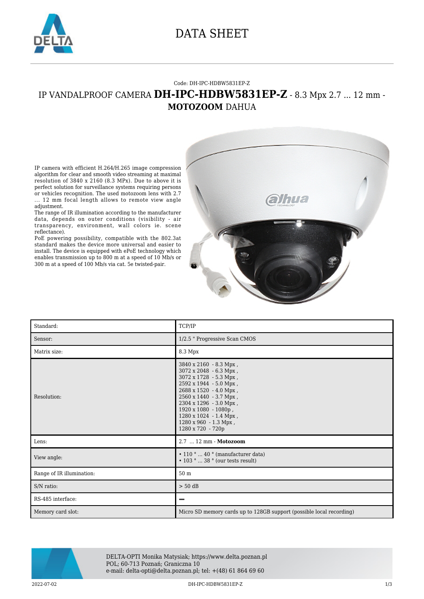

### DATA SHEET

#### Code: DH-IPC-HDBW5831EP-Z

### IP VANDALPROOF CAMERA **DH-IPC-HDBW5831EP-Z** - 8.3 Mpx 2.7 ... 12 mm - **MOTOZOOM** DAHUA

IP camera with efficient H.264/H.265 image compression algorithm for clear and smooth video streaming at maximal resolution of 3840 x 2160 (8.3 MPx). Due to above it is perfect solution for surveillance systems requiring persons or vehicles recognition. The used motozoom lens with 2.7 ... 12 mm focal length allows to remote view angle adjustment.

The range of IR illumination according to the manufacturer data, depends on outer conditions (visibility - air transparency, environment, wall colors ie. scene reflectance).

PoE powering possibility, compatible with the 802.3at standard makes the device more universal and easier to install. The device is equipped with ePoE technology which enables transmission up to 800 m at a speed of 10 Mb/s or 300 m at a speed of 100 Mb/s via cat. 5e twisted-pair.



| Standard:                 | TCP/IP                                                                                                                                                                                                                                                                             |
|---------------------------|------------------------------------------------------------------------------------------------------------------------------------------------------------------------------------------------------------------------------------------------------------------------------------|
| Sensor:                   | 1/2.5 " Progressive Scan CMOS                                                                                                                                                                                                                                                      |
| Matrix size:              | 8.3 Mpx                                                                                                                                                                                                                                                                            |
| Resolution:               | 3840 x 2160 - 8.3 Mpx,<br>3072 x 2048 - 6.3 Mpx,<br>3072 x 1728 - 5.3 Mpx,<br>2592 x 1944 - 5.0 Mpx,<br>2688 x 1520 - 4.0 Mpx,<br>2560 x 1440 - 3.7 Mpx,<br>2304 x 1296 - 3.0 Mpx,<br>1920 x 1080 - 1080p,<br>1280 x 1024 - 1.4 Mpx,<br>1280 x 960 - 1.3 Mpx,<br>1280 x 720 - 720p |
| Lens:                     | 2.7  12 mm - Motozoom                                                                                                                                                                                                                                                              |
| View angle:               | $\cdot$ 110 °  40 ° (manufacturer data)<br>$\cdot$ 103 °  38 ° (our tests result)                                                                                                                                                                                                  |
| Range of IR illumination: | 50 m                                                                                                                                                                                                                                                                               |
| S/N ratio:                | $> 50$ dB                                                                                                                                                                                                                                                                          |
| RS-485 interface:         |                                                                                                                                                                                                                                                                                    |
| Memory card slot:         | Micro SD memory cards up to 128GB support (possible local recording)                                                                                                                                                                                                               |



DELTA-OPTI Monika Matysiak; https://www.delta.poznan.pl POL; 60-713 Poznań; Graniczna 10 e-mail: delta-opti@delta.poznan.pl; tel: +(48) 61 864 69 60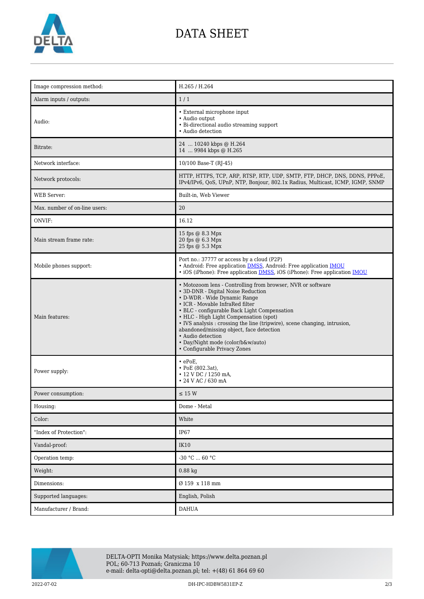

# DATA SHEET

| Image compression method:     | H.265 / H.264                                                                                                                                                                                                                                                                                                                                                                                                                                                                     |
|-------------------------------|-----------------------------------------------------------------------------------------------------------------------------------------------------------------------------------------------------------------------------------------------------------------------------------------------------------------------------------------------------------------------------------------------------------------------------------------------------------------------------------|
| Alarm inputs / outputs:       | 1/1                                                                                                                                                                                                                                                                                                                                                                                                                                                                               |
| Audio:                        | • External microphone input<br>• Audio output<br>• Bi-directional audio streaming support<br>• Audio detection                                                                                                                                                                                                                                                                                                                                                                    |
| Bitrate:                      | 24  10240 kbps @ H.264<br>14  9984 kbps @ H.265                                                                                                                                                                                                                                                                                                                                                                                                                                   |
| Network interface:            | 10/100 Base-T (RJ-45)                                                                                                                                                                                                                                                                                                                                                                                                                                                             |
| Network protocols:            | HTTP, HTTPS, TCP, ARP, RTSP, RTP, UDP, SMTP, FTP, DHCP, DNS, DDNS, PPPoE,<br>IPv4/IPv6, QoS, UPnP, NTP, Bonjour, 802.1x Radius, Multicast, ICMP, IGMP, SNMP                                                                                                                                                                                                                                                                                                                       |
| <b>WEB</b> Server:            | Built-in, Web Viewer                                                                                                                                                                                                                                                                                                                                                                                                                                                              |
| Max. number of on-line users: | 20                                                                                                                                                                                                                                                                                                                                                                                                                                                                                |
| ONVIF:                        | 16.12                                                                                                                                                                                                                                                                                                                                                                                                                                                                             |
| Main stream frame rate:       | 15 fps @ 8.3 Mpx<br>20 fps @ 6.3 Mpx<br>25 fps @ 5.3 Mpx                                                                                                                                                                                                                                                                                                                                                                                                                          |
| Mobile phones support:        | Port no.: 37777 or access by a cloud (P2P)<br>• Android: Free application <b>DMSS</b> , Android: Free application <b>IMOU</b><br>• iOS (iPhone): Free application <b>DMSS</b> , iOS (iPhone): Free application <b>IMOU</b>                                                                                                                                                                                                                                                        |
| Main features:                | • Motozoom lens - Controlling from browser, NVR or software<br>• 3D-DNR - Digital Noise Reduction<br>• D-WDR - Wide Dynamic Range<br>• ICR - Movable InfraRed filter<br>• BLC - configurable Back Light Compensation<br>• HLC - High Light Compensation (spot)<br>• IVS analysis : crossing the line (tripwire), scene changing, intrusion,<br>abandoned/missing object, face detection<br>• Audio detection<br>• Day/Night mode (color/b&w/auto)<br>• Configurable Privacy Zones |
| Power supply:                 | $\cdot$ ePoE,<br>$\cdot$ PoE (802.3at),<br>• 12 V DC / 1250 mA,<br>• 24 V AC / 630 mA                                                                                                                                                                                                                                                                                                                                                                                             |
| Power consumption:            | $\leq$ 15 W                                                                                                                                                                                                                                                                                                                                                                                                                                                                       |
| Housing:                      | Dome - Metal                                                                                                                                                                                                                                                                                                                                                                                                                                                                      |
| Color:                        | White                                                                                                                                                                                                                                                                                                                                                                                                                                                                             |
| "Index of Protection":        | IP67                                                                                                                                                                                                                                                                                                                                                                                                                                                                              |
| Vandal-proof:                 | <b>IK10</b>                                                                                                                                                                                                                                                                                                                                                                                                                                                                       |
| Operation temp:               | $-30$ °C $\ldots$ 60 °C                                                                                                                                                                                                                                                                                                                                                                                                                                                           |
| Weight:                       | $0.88$ kg                                                                                                                                                                                                                                                                                                                                                                                                                                                                         |
| Dimensions:                   | Ø 159 x 118 mm                                                                                                                                                                                                                                                                                                                                                                                                                                                                    |
| Supported languages:          | English, Polish                                                                                                                                                                                                                                                                                                                                                                                                                                                                   |
| Manufacturer / Brand:         | <b>DAHUA</b>                                                                                                                                                                                                                                                                                                                                                                                                                                                                      |